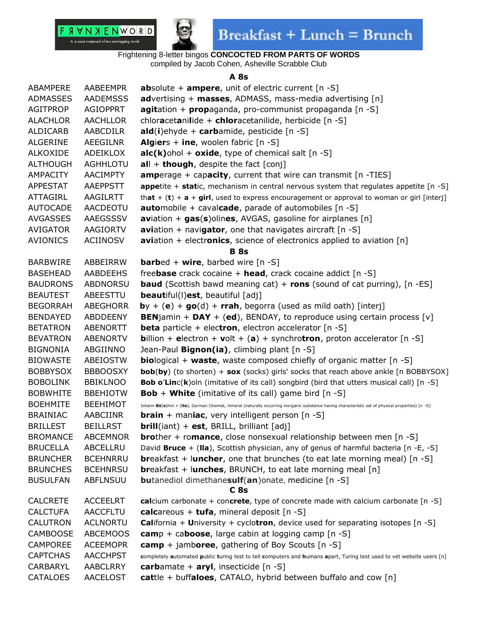



Frightening 8-letter bingos **CONCOCTED FROM PARTS OF WORDS** compiled by Jacob Cohen, Asheville Scrabble Club

#### **A 8s**

| ABAMPERE        | AABEEMPR        | <b>absolute + ampere, unit of electric current</b> $[n -S]$                                                                                       |
|-----------------|-----------------|---------------------------------------------------------------------------------------------------------------------------------------------------|
| ADMASSES        | <b>AADEMSSS</b> | <b>advertising + masses, ADMASS, mass-media advertising [n]</b>                                                                                   |
| <b>AGITPROP</b> | <b>AGIOPPRT</b> | agitation + propaganda, pro-communist propaganda [n -S]                                                                                           |
| <b>ALACHLOR</b> | <b>AACHLLOR</b> | chloracetanilide + chloracetanilide, herbicide [n -S]                                                                                             |
| ALDICARB        | <b>AABCDILR</b> | $ald(i)$ ehyde + carbamide, pesticide [n -S]                                                                                                      |
| ALGERINE        | AEEGILNR        | <b>Algiers + ine, woolen fabric [n -S]</b>                                                                                                        |
| <b>ALKOXIDE</b> | ADEIKLOX        | $alc(k)$ ohol + oxide, type of chemical salt [n -S]                                                                                               |
| <b>ALTHOUGH</b> | <b>AGHHLOTU</b> | $all + though$ , despite the fact [conj]                                                                                                          |
| <b>AMPACITY</b> | <b>AACIMPTY</b> | <b>amperage + capacity, current that wire can transmit [n -TIES]</b>                                                                              |
| <b>APPESTAT</b> | <b>AAEPPSTT</b> | <b>appetite + static,</b> mechanism in central nervous system that regulates appetite $[n - S]$                                                   |
| ATTAGIRL        | AAGILRTT        | that + (t) + $a + girl$ , used to express encouragement or approval to woman or girl [interj]                                                     |
| <b>AUTOCADE</b> | AACDEOTU        | <b>automobile</b> + cavalcade, parade of automobiles [n -S]                                                                                       |
| <b>AVGASSES</b> | AAEGSSSV        | <b>aviation + gas(s)olines, AVGAS, gasoline for airplanes [n]</b>                                                                                 |
| <b>AVIGATOR</b> | <b>AAGIORTV</b> | <b>avi</b> ation + navigator, one that navigates aircraft $[n -S]$                                                                                |
| <b>AVIONICS</b> | <b>ACIINOSV</b> | <b>aviation</b> + electronics, science of electronics applied to aviation $[n]$                                                                   |
|                 |                 | <b>B</b> 8s                                                                                                                                       |
| <b>BARBWIRE</b> | ABBEIRRW        | <b>barbed + wire, barbed wire [n -S]</b>                                                                                                          |
| <b>BASEHEAD</b> | AABDEEHS        | freebase crack cocaine $+$ head, crack cocaine addict [n -S]                                                                                      |
| <b>BAUDRONS</b> | ABDNORSU        | <b>baud</b> (Scottish bawd meaning cat) + rons (sound of cat purring), $[n - ES]$                                                                 |
| <b>BEAUTEST</b> | ABEESTTU        | <b>beautiful(I)est, beautiful [adj]</b>                                                                                                           |
| <b>BEGORRAH</b> | <b>ABEGHORR</b> | $by + (e) + go(d) + rrah$ , begorra (used as mild oath) [interj]                                                                                  |
| <b>BENDAYED</b> | ABDDEENY        | <b>BENjamin + DAY + (ed), BENDAY, to reproduce using certain process [v]</b>                                                                      |
| <b>BETATRON</b> | <b>ABENORTT</b> | <b>beta</b> particle + electron, electron accelerator $[n -S]$                                                                                    |
| <b>BEVATRON</b> | <b>ABENORTV</b> | <b>billion + electron + volt + (a) + synchrotron, proton accelerator</b> [n -S]                                                                   |
| <b>BIGNONIA</b> | ABGIINNO        | Jean-Paul <b>Bignon(ia)</b> , climbing plant [n -S]                                                                                               |
| <b>BIOWASTE</b> | ABEIOSTW        | <b>biological + waste,</b> waste composed chiefly of organic matter $[n -S]$                                                                      |
| <b>BOBBYSOX</b> | <b>BBBOOSXY</b> | <b>bob(by)</b> (to shorten) + sox (socks) girls' socks that reach above ankle [n BOBBYSOX]                                                        |
| <b>BOBOLINK</b> | <b>BBIKLNOO</b> | <b>Bob o'Linc(k)</b> oln (imitative of its call) songbird (bird that utters musical call) [n -S]                                                  |
| <b>BOBWHITE</b> | <b>BBEHIOTW</b> | <b>Bob + White</b> (imitative of its call) game bird $[n -S]$                                                                                     |
| <b>BOEHMITE</b> | <b>BEEHIMOT</b> | Johann Bö(e)hm + (ite), German Chemist, mineral (naturally occurring inorganic substance having characteristic set of physical properties) [n -S] |
| <b>BRAINIAC</b> | AABCIINR        | <b>brain</b> + maniac, very intelligent person $[n -S]$                                                                                           |
| <b>BRILLEST</b> | <b>BEILLRST</b> | brill(iant) + est, BRILL, brilliant [adj]                                                                                                         |
| <b>BROMANCE</b> | <b>ABCEMNOR</b> | <b>brother</b> + romance, close nonsexual relationship between men $[n -S]$                                                                       |
| <b>BRUCELLA</b> | ABCELLRU        | David Bruce + (Ila), Scottish physician, any of genus of harmful bacteria [n -E, -S]                                                              |
| <b>BRUNCHER</b> | <b>BCEHNRRU</b> | <b>breakfast + luncher, one that brunches (to eat late morning meal)</b> $[n - S]$                                                                |
| <b>BRUNCHES</b> | <b>BCEHNRSU</b> | <b>breakfast + lunches, BRUNCH, to eat late morning meal [n]</b>                                                                                  |
| <b>BUSULFAN</b> | <b>ABFLNSUU</b> | <b>butanediol dimethanesulf(an)onate, medicine [n -S]</b>                                                                                         |
|                 |                 | C 8s                                                                                                                                              |
| <b>CALCRETE</b> | <b>ACCEELRT</b> | calcium carbonate + concrete, type of concrete made with calcium carbonate [n -S]                                                                 |
| <b>CALCTUFA</b> | <b>AACCFLTU</b> | calcareous + tufa, mineral deposit $[n -S]$                                                                                                       |
| CALUTRON        | <b>ACLNORTU</b> | <b>California + University + cyclotron, device used for separating isotopes [n -S]</b>                                                            |
| <b>CAMBOOSE</b> | <b>ABCEMOOS</b> | $\text{camp} + \text{caboose}$ , large cabin at logging camp [n -S]                                                                               |
| <b>CAMPOREE</b> | <b>ACEEMOPR</b> | $\text{camp} + \text{jamboree}, \text{ gathering of Boy Scouts [n -S]}$                                                                           |
| <b>CAPTCHAS</b> | <b>AACCHPST</b> | completely automated public turing test to tell computers and humans apart, Turing test used to vet website users [n]                             |
| CARBARYL        | <b>AABCLRRY</b> | carbamate + $\text{aryl}$ , insecticide [n -S]                                                                                                    |
| CATALOES        | <b>AACELOST</b> | cattle + buffaloes, CATALO, hybrid between buffalo and cow [n]                                                                                    |
|                 |                 |                                                                                                                                                   |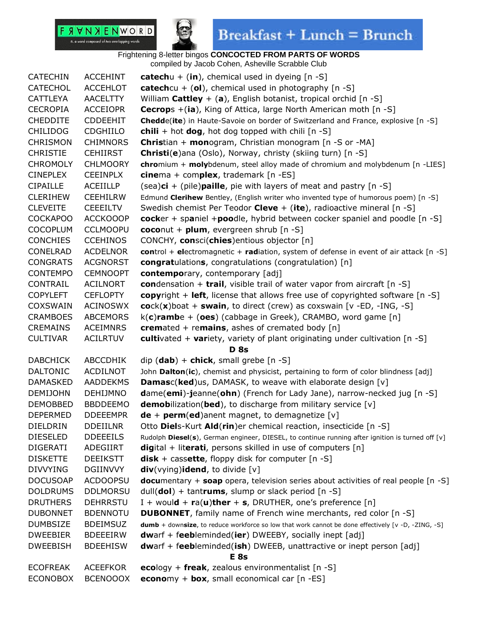

| <b>CATECHIN</b> | <b>ACCEHINT</b> | catechu + $(in)$ , chemical used in dyeing $[n -S]$                                                |
|-----------------|-----------------|----------------------------------------------------------------------------------------------------|
| <b>CATECHOL</b> | <b>ACCEHLOT</b> | <b>catech</b> cu + (ol), chemical used in photography $[n -S]$                                     |
| <b>CATTLEYA</b> | <b>AACELTTY</b> | William Cattley + (a), English botanist, tropical orchid $[n -S]$                                  |
| <b>CECROPIA</b> | <b>ACCEIOPR</b> | <b>Cecrops</b> +(ia), King of Attica, large North American moth [n -S]                             |
| <b>CHEDDITE</b> | <b>CDDEEHIT</b> | <b>Chedde(ite)</b> in Haute-Savoie on border of Switzerland and France, explosive [n -S]           |
| <b>CHILIDOG</b> | <b>CDGHIILO</b> | <b>chili</b> + hot <b>dog</b> , hot dog topped with chili $[n -S]$                                 |
| <b>CHRISMON</b> | <b>CHIMNORS</b> | <b>Christian + monogram, Christian monogram [n -S or -MA]</b>                                      |
| <b>CHRISTIE</b> | <b>CEHIIRST</b> | Christi(e)ana (Oslo), Norway, christy (skiing turn) [n -S]                                         |
| <b>CHROMOLY</b> | <b>CHLMOORY</b> | chromium + molybdenum, steel alloy made of chromium and molybdenum [n -LIES]                       |
| <b>CINEPLEX</b> | <b>CEEINPLX</b> | cinema + complex, trademark $[n - ES]$                                                             |
| <b>CIPAILLE</b> | ACEIILLP        | (sea) $ci + (pile)$ paille, pie with layers of meat and pastry [n -S]                              |
| <b>CLERIHEW</b> | <b>CEEHILRW</b> | Edmund Clerihew Bentley, (English writer who invented type of humorous poem) [n -S]                |
| <b>CLEVEITE</b> | <b>CEEEILTV</b> | Swedish chemist Per Teodor Cleve $+$ (ite), radioactive mineral [n -S]                             |
| <b>COCKAPOO</b> | <b>ACCKOOOP</b> | cocker + spaniel +poodle, hybrid between cocker spaniel and poodle $[n - S]$                       |
| <b>COCOPLUM</b> | <b>CCLMOOPU</b> | coconut + $plum$ , evergreen shrub $[n - S]$                                                       |
| <b>CONCHIES</b> | <b>CCEHINOS</b> | CONCHY, consci(chies)entious objector [n]                                                          |
| CONELRAD        | <b>ACDELNOR</b> | control + electromagnetic + radiation, system of defense in event of air attack $[n -S]$           |
| <b>CONGRATS</b> | <b>ACGNORST</b> | <b>congratulations, congratulations (congratulation)</b> [n]                                       |
| <b>CONTEMPO</b> | <b>CEMNOOPT</b> | contemporary, contemporary [adj]                                                                   |
| CONTRAIL        | <b>ACILNORT</b> | condensation + trail, visible trail of water vapor from aircraft $[n -S]$                          |
| <b>COPYLEFT</b> | <b>CEFLOPTY</b> | <b>copyright + left, license that allows free use of copyrighted software [n -S]</b>               |
| <b>COXSWAIN</b> | <b>ACINOSWX</b> | $\mathbf{cock}(\mathbf{x})$ boat + swain, to direct (crew) as coxswain [v -ED, -ING, -S]           |
| <b>CRAMBOES</b> | <b>ABCEMORS</b> | $k(c)$ rambe + (oes) (cabbage in Greek), CRAMBO, word game [n]                                     |
| <b>CREMAINS</b> | <b>ACEIMNRS</b> | cremated + remains, ashes of cremated body $[n]$                                                   |
| <b>CULTIVAR</b> | <b>ACILRTUV</b> | cultivated + variety, variety of plant originating under cultivation $[n -S]$                      |
|                 |                 | <b>D</b> 8s                                                                                        |
| <b>DABCHICK</b> | ABCCDHIK        | dip $(dab)$ + chick, small grebe $[n -S]$                                                          |
| <b>DALTONIC</b> | ACDILNOT        | John Dalton(ic), chemist and physicist, pertaining to form of color blindness [adj]                |
| <b>DAMASKED</b> | <b>AADDEKMS</b> | <b>Damasc(ked)</b> us, DAMASK, to weave with elaborate design [v]                                  |
| <b>DEMIJOHN</b> | <b>DEHIJMNO</b> | $d$ ame(emi)-jeanne(ohn) (French for Lady Jane), narrow-necked jug $[n -S]$                        |
| <b>DEMOBBED</b> | <b>BBDDEEMO</b> | <b>demobilization(bed)</b> , to discharge from military service [v]                                |
| <b>DEPERMED</b> | <b>DDEEEMPR</b> | $de + perm(ed)$ and magnet, to demagnetize [v]                                                     |
| DIELDRIN        | <b>DDEIILNR</b> | Otto Diels-Kurt Ald(rin)er chemical reaction, insecticide [n -S]                                   |
| <b>DIESELED</b> | <b>DDEEEILS</b> | Rudolph Diesel(s), German engineer, DIESEL, to continue running after ignition is turned off [v]   |
| <b>DIGERATI</b> | ADEGIIRT        | <b>digital + literati, persons skilled in use of computers</b> $[n]$                               |
| <b>DISKETTE</b> | <b>DEEIKSTT</b> | <b>disk</b> + cassette, floppy disk for computer $[n -S]$                                          |
| <b>DIVVYING</b> | <b>DGIINVVY</b> | div(vying)idend, to divide [v]                                                                     |
| <b>DOCUSOAP</b> | <b>ACDOOPSU</b> | <b>documentary + soap</b> opera, television series about activities of real people [n -S]          |
| <b>DOLDRUMS</b> | <b>DDLMORSU</b> | dull( $\text{dol}$ ) + tantrums, slump or slack period [n -S]                                      |
| <b>DRUTHERS</b> | <b>DEHRRSTU</b> | I + would + $ra(u)$ ther + s, DRUTHER, one's preference [n]                                        |
| <b>DUBONNET</b> | <b>BDENNOTU</b> | <b>DUBONNET</b> , family name of French wine merchants, red color [n -S]                           |
| <b>DUMBSIZE</b> | <b>BDEIMSUZ</b> | dumb + downsize, to reduce workforce so low that work cannot be done effectively [v -D, -ZING, -S] |
| <b>DWEEBIER</b> | <b>BDEEEIRW</b> | dwarf + feebleminded(ier) DWEEBY, socially inept [adj]                                             |
| <b>DWEEBISH</b> | <b>BDEEHISW</b> | <b>dwarf + feebleminded(ish)</b> DWEEB, unattractive or inept person [adj]                         |
|                 |                 | E <sub>8s</sub>                                                                                    |
| <b>ECOFREAK</b> | <b>ACEEFKOR</b> | ecology + freak, zealous environmentalist $[n -S]$                                                 |
| <b>ECONOBOX</b> | <b>BCENOOOX</b> | <b>econo</b> my + <b>box</b> , small economical car $[n - ES]$                                     |
|                 |                 |                                                                                                    |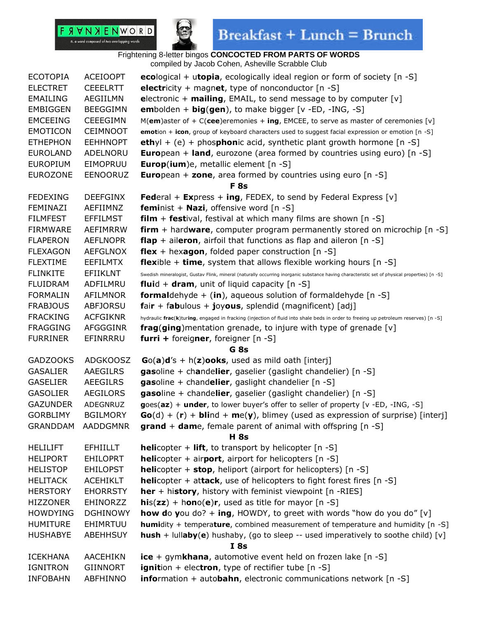



## $\textbf{Breakfast} + \textbf{Lunch} = \textbf{Brunch}$

| <b>ECOTOPIA</b> | <b>ACEIOOPT</b> | ecological + utopia, ecologically ideal region or form of society [n -S]                                                                      |
|-----------------|-----------------|-----------------------------------------------------------------------------------------------------------------------------------------------|
| <b>ELECTRET</b> | <b>CEEELRTT</b> | electricity + magnet, type of nonconductor $[n -S]$                                                                                           |
| <b>EMAILING</b> | AEGIILMN        | electronic + mailing, EMAIL, to send message to by computer $[v]$                                                                             |
| <b>EMBIGGEN</b> | <b>BEEGGIMN</b> | <b>embolden + big(gen)</b> , to make bigger [v -ED, -ING, -S]                                                                                 |
| <b>EMCEEING</b> | <b>CEEEGIMN</b> | M(em)aster of + C(cee)eremonies + ing, EMCEE, to serve as master of ceremonies [v]                                                            |
| <b>EMOTICON</b> | <b>CEIMNOOT</b> | emotion + icon, group of keyboard characters used to suggest facial expression or emotion [n -S]                                              |
| <b>ETHEPHON</b> | <b>EEHHNOPT</b> | <b>eth</b> yl + (e) + phosphonic acid, synthetic plant growth hormone $[n -S]$                                                                |
| <b>EUROLAND</b> | ADELNORU        | <b>European + land, eurozone (area formed by countries using euro)</b> $[n -S]$                                                               |
| <b>EUROPIUM</b> | EIMOPRUU        | <b>Europ(ium)e, metallic element [n -S]</b>                                                                                                   |
| <b>EUROZONE</b> | <b>EENOORUZ</b> | <b>European + zone, area formed by countries using euro [n -S]</b>                                                                            |
|                 |                 | <b>F</b> 8s                                                                                                                                   |
| <b>FEDEXING</b> | <b>DEEFGINX</b> | <b>Federal + Express + ing, FEDEX, to send by Federal Express</b> [v]                                                                         |
| FEMINAZI        | AEFIIMNZ        | <b>feminist + Nazi</b> , offensive word $[n -S]$                                                                                              |
| <b>FILMFEST</b> | <b>EFFILMST</b> | $film + festival$ , festival, festival at which many films are shown $[n -S]$                                                                 |
| <b>FIRMWARE</b> | <b>AEFIMRRW</b> | <b>firm</b> + hardware, computer program permanently stored on microchip $[n -S]$                                                             |
| <b>FLAPERON</b> | <b>AEFLNOPR</b> | <b>flap</b> + aileron, airfoil that functions as flap and aileron $[n -S]$                                                                    |
| <b>FLEXAGON</b> | <b>AEFGLNOX</b> | flex + hexagon, folded paper construction $[n -S]$                                                                                            |
| <b>FLEXTIME</b> | <b>EEFILMTX</b> | <b>flexible + time,</b> system that allows flexible working hours $[n -S]$                                                                    |
| <b>FLINKITE</b> | EFIIKLNT        | Swedish mineralogist, Gustav Flink, mineral (naturally occurring inorganic substance having characteristic set of physical properties) [n -S] |
| <b>FLUIDRAM</b> | ADFILMRU        | <b>fluid + dram</b> , unit of liquid capacity $[n -S]$                                                                                        |
| <b>FORMALIN</b> | <b>AFILMNOR</b> | <b>formaldehyde</b> + (in), aqueous solution of formaldehyde $[n -S]$                                                                         |
| <b>FRABJOUS</b> | <b>ABFJORSU</b> | fair + fabulous + joyous, splendid (magnificent) [adj]                                                                                        |
| <b>FRACKING</b> | <b>ACFGIKNR</b> | hydraulic frac(k)turing, engaged in fracking (injection of fluid into shale beds in order to freeing up petroleum reserves) [n -S]            |
| <b>FRAGGING</b> | AFGGGINR        | <b>frag(ging)</b> mentation grenade, to injure with type of grenade [v]                                                                       |
| <b>FURRINER</b> | EFINRRRU        | furri + foreigner, foreigner [n -S]                                                                                                           |
|                 |                 | G <sub>8s</sub>                                                                                                                               |
| <b>GADZOOKS</b> | <b>ADGKOOSZ</b> | $Go(a)d's + h(z)ooks$ , used as mild oath [interj]                                                                                            |
| <b>GASALIER</b> | AAEGILRS        | gasoline + chandelier, gaselier (gaslight chandelier) [n -S]                                                                                  |
| <b>GASELIER</b> | <b>AEEGILRS</b> | gasoline + chandelier, gaslight chandelier [n -S]                                                                                             |
| <b>GASOLIER</b> | <b>AEGILORS</b> | gasoline + chandelier, gaselier (gaslight chandelier) [n -S]                                                                                  |
| <b>GAZUNDER</b> | ADEGNRUZ        | goes(az) + under, to lower buyer's offer to seller of property [v -ED, -ING, -S]                                                              |
| <b>GORBLIMY</b> | <b>BGILMORY</b> | $Go(d) + (r) + blind + me(y)$ , blimey (used as expression of surprise) [interj]                                                              |
| <b>GRANDDAM</b> | AADDGMNR        | grand + dame, female parent of animal with offspring [n -S]                                                                                   |
|                 |                 | H 8s                                                                                                                                          |
| <b>HELILIFT</b> | <b>EFHIILLT</b> | <b>helicopter + lift, to transport by helicopter</b> $[n -S]$                                                                                 |
| <b>HELIPORT</b> | <b>EHILOPRT</b> | <b>helicopter + airport, airport for helicopters</b> $[n -S]$                                                                                 |
| <b>HELISTOP</b> | <b>EHILOPST</b> | <b>helicopter + stop, heliport (airport for helicopters)</b> [n -S]                                                                           |
| <b>HELITACK</b> | <b>ACEHIKLT</b> | <b>helicopter + attack, use of helicopters to fight forest fires [n -S]</b>                                                                   |
| <b>HERSTORY</b> | <b>EHORRSTY</b> | her + history, history with feminist viewpoint [n -RIES]                                                                                      |
| <b>HIZZONER</b> | <b>EHINORZZ</b> | $his(zz) + hono(e)r$ , used as title for mayor [n -S]                                                                                         |
| <b>HOWDYING</b> | <b>DGHINOWY</b> | <b>how do you</b> do? + ing, HOWDY, to greet with words "how do you do" [v]                                                                   |
| <b>HUMITURE</b> | EHIMRTUU        | humidity + temperature, combined measurement of temperature and humidity [n -S]                                                               |
| <b>HUSHABYE</b> | <b>ABEHHSUY</b> | $hush + lullaby(e)$ hushaby, (go to sleep -- used imperatively to soothe child) [v]                                                           |
|                 |                 | I8s                                                                                                                                           |
| <b>ICEKHANA</b> | <b>AACEHIKN</b> | $ice + gymkhana$ , automotive event held on frozen lake [n -S]                                                                                |
| <b>IGNITRON</b> | <b>GIINNORT</b> | <b>ignition</b> + electron, type of rectifier tube [n -S]                                                                                     |
| <b>INFOBAHN</b> | <b>ABFHINNO</b> | <b>information + autobahn</b> , electronic communications network [n -S]                                                                      |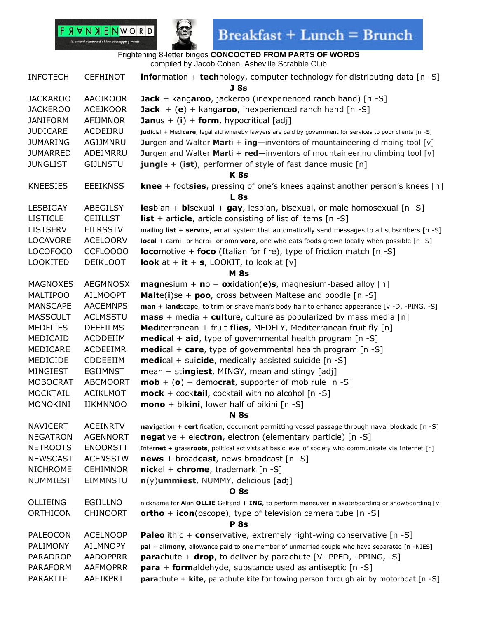

| <b>INFOTECH</b> | <b>CEFHINOT</b> | <b>information + technology, computer technology for distributing data</b> $[n -S]$<br>J 8s               |
|-----------------|-----------------|-----------------------------------------------------------------------------------------------------------|
| <b>JACKAROO</b> | <b>AACJKOOR</b> | <b>Jack</b> + kangaroo, jackeroo (inexperienced ranch hand) $[n -S]$                                      |
| <b>JACKEROO</b> | <b>ACEJKOOR</b> | <b>Jack</b> $+$ (e) + kangaroo, inexperienced ranch hand [n -S]                                           |
| <b>JANIFORM</b> | AFIJMNOR        | <b>Jan</b> us + (i) + form, hypocritical [adj]                                                            |
| <b>JUDICARE</b> | ACDEIJRU        | judicial + Medicare, legal aid whereby lawyers are paid by government for services to poor clients [n -S] |
| <b>JUMARING</b> | AGIJMNRU        | <b>Jurgen and Walter Marti + ing</b> —inventors of mountaineering climbing tool $[v]$                     |
| <b>JUMARRED</b> | ADEJMRRU        | <b>Jurgen and Walter Marti + red</b> —inventors of mountaineering climbing tool $[v]$                     |
| <b>JUNGLIST</b> | <b>GIJLNSTU</b> | <b>jungle</b> + (ist), performer of style of fast dance music $[n]$                                       |
|                 |                 | K <sub>8s</sub>                                                                                           |
| <b>KNEESIES</b> | <b>EEEIKNSS</b> | <b>knee</b> + footsies, pressing of one's knees against another person's knees $[n]$                      |
|                 |                 | <b>L</b> 8s                                                                                               |
| LESBIGAY        | ABEGILSY        | <b>les</b> bian + <b>bi</b> sexual + $\mathbf{gay}$ , lesbian, bisexual, or male homosexual [n -S]        |
| <b>LISTICLE</b> | <b>CEIILLST</b> | <b>list</b> + article, article consisting of list of items $[n - S]$                                      |
| <b>LISTSERV</b> | <b>EILRSSTV</b> | mailing list + service, email system that automatically send messages to all subscribers $[n - S]$        |
| LOCAVORE        | <b>ACELOORV</b> | local + carni- or herbi- or omnivore, one who eats foods grown locally when possible [n -S]               |
| <b>LOCOFOCO</b> | CCFLOOOO        | <b>locomotive + foco</b> (Italian for fire), type of friction match $[n -S]$                              |
| <b>LOOKITED</b> | <b>DEIKLOOT</b> | <b>look</b> at + it + s, LOOKIT, to look at [v]                                                           |
|                 |                 | <b>M</b> 8s                                                                                               |
| <b>MAGNOXES</b> | <b>AEGMNOSX</b> | <b>magnesium + no + oxidation(e)s, magnesium-based alloy</b> [n]                                          |
| <b>MALTIPOO</b> | <b>AILMOOPT</b> | <b>Malte(i)se + poo, cross between Maltese and poodle [n -S]</b>                                          |
| <b>MANSCAPE</b> | <b>AACEMNPS</b> | man + landscape, to trim or shave man's body hair to enhance appearance [v -D, -PING, -S]                 |
| <b>MASSCULT</b> | <b>ACLMSSTU</b> | $mass + media + culture$ , culture as popularized by mass media [n]                                       |
| <b>MEDFLIES</b> | <b>DEEFILMS</b> | <b>Mediterranean + fruit flies, MEDFLY, Mediterranean fruit fly</b> $[n]$                                 |
| MEDICAID        | ACDDEIIM        | <b>medical + aid,</b> type of governmental health program $[n -S]$                                        |
| MEDICARE        | <b>ACDEEIMR</b> | <b>medical + care,</b> type of governmental health program $[n -S]$                                       |
| MEDICIDE        | CDDEEIIM        | <b>medical</b> + suicide, medically assisted suicide [n -S]                                               |
| MINGIEST        | <b>EGIIMNST</b> | $mean + stringiest$ , MINGY, mean and stingy [adj]                                                        |
| <b>MOBOCRAT</b> | <b>ABCMOORT</b> | $\textbf{mob} + (\textbf{o}) +$ democrat, supporter of mob rule [n -S]                                    |
| <b>MOCKTAIL</b> | <b>ACIKLMOT</b> | $\textbf{mock}$ + cocktail, cocktail with no alcohol [n -S]                                               |
| <b>MONOKINI</b> | <b>IIKMNNOO</b> | $\text{mono} + \text{bikini}$ , lower half of bikini [n -S]                                               |
|                 |                 | <b>N</b> 8s                                                                                               |
| <b>NAVICERT</b> | <b>ACEINRTV</b> | navigation + certification, document permitting vessel passage through naval blockade [n -S]              |
| <b>NEGATRON</b> | <b>AGENNORT</b> | <b>negative</b> + electron, electron (elementary particle) $[n -S]$                                       |
| <b>NETROOTS</b> | <b>ENOORSTT</b> | Internet + grassroots, political activists at basic level of society who communicate via Internet [n]     |
| <b>NEWSCAST</b> | <b>ACENSSTW</b> | <b>news</b> + broadcast, news broadcast [n -S]                                                            |
| <b>NICHROME</b> | <b>CEHIMNOR</b> | $nickel + chrome, trademark [n -S]$                                                                       |
| NUMMIEST        | EIMMNSTU        | $n(y)$ ummiest, NUMMY, delicious [adj]                                                                    |
|                 |                 | <b>O</b> 8s                                                                                               |
| OLLIEING        | <b>EGIILLNO</b> | nickname for Alan OLLIE Gelfand + ING, to perform maneuver in skateboarding or snowboarding [v]           |
| ORTHICON        | <b>CHINOORT</b> | ortho + icon(oscope), type of television camera tube $[n -S]$                                             |
|                 |                 | <b>P</b> 8s                                                                                               |
| <b>PALEOCON</b> | <b>ACELNOOP</b> | <b>Paleolithic + conservative, extremely right-wing conservative [n -S]</b>                               |
| <b>PALIMONY</b> | <b>AILMNOPY</b> | pal + alimony, allowance paid to one member of unmarried couple who have separated [n -NIES]              |
| PARADROP        | <b>AADOPPRR</b> | <b>para</b> chute + $drop$ , to deliver by parachute [V -PPED, -PPING, -S]                                |
| <b>PARAFORM</b> | <b>AAFMOPRR</b> | <b>para</b> + <b>form</b> aldehyde, substance used as antiseptic $[n -S]$                                 |
| PARAKITE        | AAEIKPRT        | parachute + kite, parachute kite for towing person through air by motorboat [n -S]                        |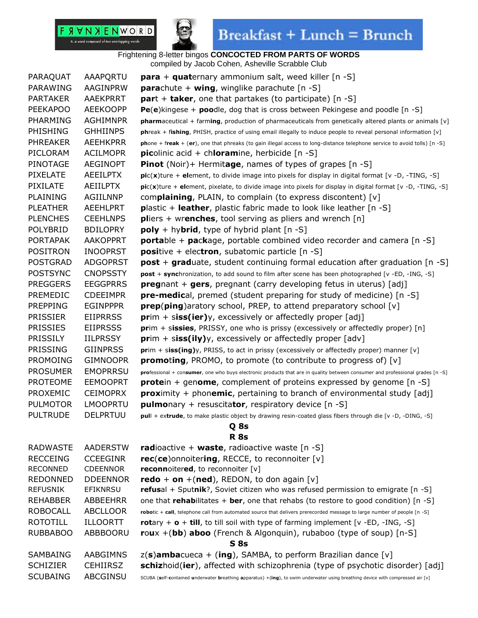

## $\textbf{Breakfast} + \textbf{Lunch} = \textbf{Brunch}$

| PARAQUAT        | AAAPQRTU        | <b>para</b> + <b>quat</b> ernary ammonium salt, weed killer $[n -S]$                                                            |  |
|-----------------|-----------------|---------------------------------------------------------------------------------------------------------------------------------|--|
| PARAWING        | AAGINPRW        | <b>para</b> chute + <b>wing</b> , winglike parachute $[n -S]$                                                                   |  |
| <b>PARTAKER</b> | <b>AAEKPRRT</b> | $part + taker$ , one that partakes (to participate) [n -S]                                                                      |  |
| <b>PEEKAPOO</b> | <b>AEEKOOPP</b> | <b>Pe(e)</b> kingese + <b>poo</b> dle, dog that is cross between Pekingese and poodle [n -S]                                    |  |
| PHARMING        | <b>AGHIMNPR</b> | pharmaceutical + farming, production of pharmaceuticals from genetically altered plants or animals [v]                          |  |
| PHISHING        | <b>GHHIINPS</b> | phreak + fishing, PHISH, practice of using email illegally to induce people to reveal personal information [v]                  |  |
| <b>PHREAKER</b> | <b>AEEHKPRR</b> | phone + freak + (er), one that phreaks (to gain illegal access to long-distance telephone service to avoid tolls) [n -S]        |  |
| PICLORAM        | <b>ACILMOPR</b> | <b>picolinic acid + chloramine, herbicide</b> $[n -S]$                                                                          |  |
| PINOTAGE        | <b>AEGINOPT</b> | <b>Pinot</b> (Noir)+ Hermitage, names of types of grapes [n -S]                                                                 |  |
| <b>PIXELATE</b> | <b>AEEILPTX</b> | pic(x)ture + element, to divide image into pixels for display in digital format [v -D, -TING, -S]                               |  |
| PIXILATE        | <b>AEIILPTX</b> | pic(x)ture + element, pixelate, to divide image into pixels for display in digital format [v -D, -TING, -S]                     |  |
| <b>PLAINING</b> | AGIILNNP        | complaining, PLAIN, to complain (to express discontent) [v]                                                                     |  |
| <b>PLEATHER</b> | AEEHLPRT        | <b>plastic + leather,</b> plastic fabric made to look like leather $[n -S]$                                                     |  |
| <b>PLENCHES</b> | <b>CEEHLNPS</b> | <b>pliers</b> + wrenches, tool serving as pliers and wrench $[n]$                                                               |  |
| POLYBRID        | <b>BDILOPRY</b> | $poly + hybrid$ , type of hybrid plant [n -S]                                                                                   |  |
| <b>PORTAPAK</b> | <b>AAKOPPRT</b> | <b>portable + package, portable combined video recorder and camera [n -S]</b>                                                   |  |
| <b>POSITRON</b> | <b>INOOPRST</b> | <b>positive + electron, subatomic particle [n -S]</b>                                                                           |  |
| <b>POSTGRAD</b> | <b>ADGOPRST</b> | <b>post</b> + graduate, student continuing formal education after graduation $[n -S]$                                           |  |
| <b>POSTSYNC</b> | <b>CNOPSSTY</b> | post + synchronization, to add sound to film after scene has been photographed [v -ED, -ING, -S]                                |  |
| <b>PREGGERS</b> | <b>EEGGPRRS</b> | <b>pregnant + gers, pregnant (carry developing fetus in uterus)</b> [adj]                                                       |  |
| PREMEDIC        | <b>CDEEIMPR</b> | <b>pre-medical</b> , premed (student preparing for study of medicine) [n -S]                                                    |  |
| <b>PREPPING</b> | <b>EGINPPPR</b> | <b>prep(ping)</b> aratory school, PREP, to attend preparatory school [v]                                                        |  |
| <b>PRISSIER</b> | <b>EIIPRRSS</b> | $prim + siss(ier)y$ , excessively or affectedly proper [adj]                                                                    |  |
| <b>PRISSIES</b> | <b>EIIPRSSS</b> | prim + sissies, PRISSY, one who is prissy (excessively or affectedly proper) [n]                                                |  |
| <b>PRISSILY</b> | <b>IILPRSSY</b> | $\text{prim} + \text{siss}(\text{ily})$ y, excessively or affectedly proper [adv]                                               |  |
| PRISSING        | <b>GIINPRSS</b> | prim + siss(ing)y, PRISS, to act in prissy (excessively or affectedly proper) manner [v]                                        |  |
| <b>PROMOING</b> | <b>GIMNOOPR</b> | <b>promoting,</b> PROMO, to promote (to contribute to progress of) $[v]$                                                        |  |
| <b>PROSUMER</b> | <b>EMOPRRSU</b> | professional + consumer, one who buys electronic products that are in quality between consumer and professional grades [n -S]   |  |
| <b>PROTEOME</b> | <b>EEMOOPRT</b> | <b>prote</b> in + genome, complement of proteins expressed by genome $[n -S]$                                                   |  |
| PROXEMIC        | <b>CEIMOPRX</b> | <b>proximity</b> + phonemic, pertaining to branch of environmental study $[adj]$                                                |  |
| <b>PULMOTOR</b> | <b>LMOOPRTU</b> | <b>pulmo</b> nary + resuscitator, respiratory device $[n -S]$                                                                   |  |
| <b>PULTRUDE</b> | <b>DELPRTUU</b> | pull + extrude, to make plastic object by drawing resin-coated glass fibers through die [v -D, -DING, -S]                       |  |
|                 |                 | Q 8s                                                                                                                            |  |
|                 |                 | <b>R</b> 8s                                                                                                                     |  |
| <b>RADWASTE</b> | <b>AADERSTW</b> | <b>radioactive + waste, radioactive waste [n -S]</b>                                                                            |  |
| <b>RECCEING</b> | <b>CCEEGINR</b> | rec(ce)onnoitering, RECCE, to reconnoiter [v]                                                                                   |  |
| <b>RECONNED</b> | <b>CDEENNOR</b> | reconnoitered, to reconnoiter [v]                                                                                               |  |
| <b>REDONNED</b> | <b>DDEENNOR</b> | redo + on +(ned), REDON, to don again [v]                                                                                       |  |
| <b>REFUSNIK</b> | <b>EFIKNRSU</b> | refusal + Sputnik?, Soviet citizen who was refused permission to emigrate [n -S]                                                |  |
| <b>REHABBER</b> | ABBEEHRR        | one that rehabilitates + ber, one that rehabs (to restore to good condition) $[n -S]$                                           |  |
| <b>ROBOCALL</b> | <b>ABCLLOOR</b> | robotic + call, telephone call from automated source that delivers prerecorded message to large number of people [n -S]         |  |
| <b>ROTOTILL</b> | <b>ILLOORTT</b> | rotary + $\sigma$ + till, to till soil with type of farming implement [ $v$ -ED, -ING, -S]                                      |  |
| <b>RUBBABOO</b> | ABBBOORU        | roux $+(bb)$ aboo (French & Algonquin), rubaboo (type of soup) [n-S]                                                            |  |
| S8s             |                 |                                                                                                                                 |  |
| SAMBAING        | AABGIMNS        | $z(s)$ ambacueca + (ing), SAMBA, to perform Brazilian dance [v]                                                                 |  |
| <b>SCHIZIER</b> | <b>CEHIIRSZ</b> | schizhoid(ier), affected with schizophrenia (type of psychotic disorder) [adj]                                                  |  |
| <b>SCUBAING</b> | ABCGINSU        | SCUBA (self-contained underwater breathing apparatus) +(ing), to swim underwater using breathing device with compressed air [v] |  |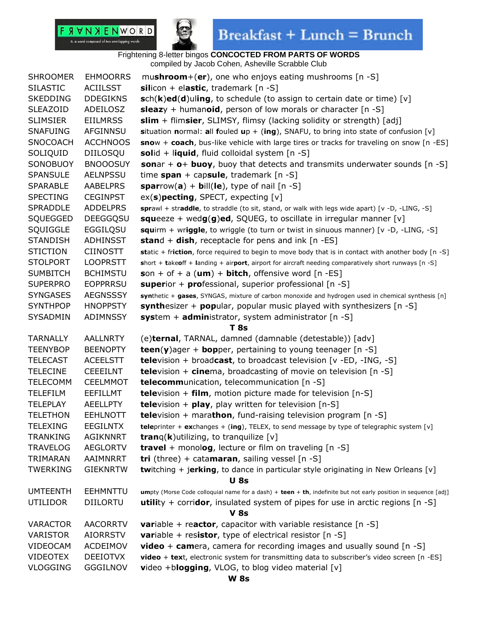### F **A V N X E N W O R D**

n. a word composed of two overlapping words



## $\textbf{Breakfast} + \textbf{Lunch} = \textbf{Brunch}$

| <b>SHROOMER</b> | <b>EHMOORRS</b> | mushroom+(er), one who enjoys eating mushrooms $[n -S]$                                                        |  |
|-----------------|-----------------|----------------------------------------------------------------------------------------------------------------|--|
| <b>SILASTIC</b> | <b>ACIILSST</b> | silicon + elastic, trademark $[n -S]$                                                                          |  |
| <b>SKEDDING</b> | <b>DDEGIKNS</b> | $sch(k)ed(d)$ uling, to schedule (to assign to certain date or time) [v]                                       |  |
| <b>SLEAZOID</b> | ADEILOSZ        | sleazy + humanoid, person of low morals or character $[n -S]$                                                  |  |
| <b>SLIMSIER</b> | <b>EIILMRSS</b> | <b>slim</b> + flimsier, SLIMSY, flimsy (lacking solidity or strength) [adj]                                    |  |
| <b>SNAFUING</b> | AFGINNSU        | situation normal: all fouled up + (ing), SNAFU, to bring into state of confusion $[v]$                         |  |
| <b>SNOCOACH</b> | <b>ACCHNOOS</b> | snow + coach, bus-like vehicle with large tires or tracks for traveling on snow [n -ES]                        |  |
| SOLIQUID        | DIILOSQU        | solid + liquid, fluid colloidal system [n -S]                                                                  |  |
| SONOBUOY        | <b>BNOOOSUY</b> | sonar + $o+$ buoy, buoy that detects and transmits underwater sounds $[n -S]$                                  |  |
| <b>SPANSULE</b> | <b>AELNPSSU</b> | time span + capsule, trademark $[n -S]$                                                                        |  |
| <b>SPARABLE</b> | <b>AABELPRS</b> | sparrow(a) + bill(le), type of nail $[n -S]$                                                                   |  |
| <b>SPECTING</b> | <b>CEGINPST</b> | $ex(s)$ pecting, SPECT, expecting $[v]$                                                                        |  |
| <b>SPRADDLE</b> | <b>ADDELPRS</b> | sprawl + straddle, to straddle (to sit, stand, or walk with legs wide apart) [v -D, -LING, -S]                 |  |
| SQUEGGED        | <b>DEEGGQSU</b> | <b>squeeze</b> + wedg(g)ed, SQUEG, to oscillate in irregular manner [v]                                        |  |
| SQUIGGLE        | EGGILQSU        | squirm + wriggle, to wriggle (to turn or twist in sinuous manner) [v -D, -LING, -S]                            |  |
| <b>STANDISH</b> | <b>ADHINSST</b> | <b>stand + dish, receptacle for pens and ink [n -ES]</b>                                                       |  |
| <b>STICTION</b> | <b>CIINOSTT</b> | static + friction, force required to begin to move body that is in contact with another body [n -S]            |  |
| <b>STOLPORT</b> | <b>LOOPRSTT</b> | short + takeoff + landing + airport, airport for aircraft needing comparatively short runways [n -S]           |  |
| <b>SUMBITCH</b> | <b>BCHIMSTU</b> | $son + of + a (um) + bitch$ , offensive word [n -ES]                                                           |  |
| <b>SUPERPRO</b> | <b>EOPPRRSU</b> | <b>superior + professional, superior professional [n -S]</b>                                                   |  |
| <b>SYNGASES</b> | <b>AEGNSSSY</b> | synthetic + gases, SYNGAS, mixture of carbon monoxide and hydrogen used in chemical synthesis [n]              |  |
| <b>SYNTHPOP</b> | <b>HNOPPSTY</b> | synthesizer + popular, popular music played with synthesizers $[n -S]$                                         |  |
| <b>SYSADMIN</b> | ADIMNSSY        | system + administrator, system administrator [n -S]                                                            |  |
|                 |                 | <b>T</b> 8s                                                                                                    |  |
| <b>TARNALLY</b> | <b>AALLNRTY</b> | (e)ternal, TARNAL, damned (damnable (detestable)) [adv]                                                        |  |
| <b>TEENYBOP</b> | <b>BEENOPTY</b> | <b>teen(y)</b> ager + <b>bop</b> per, pertaining to young teenager $[n -S]$                                    |  |
| <b>TELECAST</b> | <b>ACEELSTT</b> | <b>tele</b> vision + broadcast, to broadcast television $[v - ED, -ING, -S]$                                   |  |
| <b>TELECINE</b> | <b>CEEEILNT</b> | <b>tele</b> vision + $\text{cinem}_0$ , broadcasting of movie on television [n -S]                             |  |
| <b>TELECOMM</b> | <b>CEELMMOT</b> | <b>telecomm</b> unication, telecommunication [n -S]                                                            |  |
| <b>TELEFILM</b> | EEFILLMT        | <b>tele</b> vision + film, motion picture made for television $[n-S]$                                          |  |
| <b>TELEPLAY</b> | <b>AEELLPTY</b> | <b>tele</b> vision + $\boldsymbol{play}$ , play written for television [n-S]                                   |  |
| <b>TELETHON</b> | <b>EEHLNOTT</b> | <b>tele</b> vision + marathon, fund-raising television program $[n -S]$                                        |  |
| <b>TELEXING</b> | <b>EEGILNTX</b> | <b>tele</b> printer + <b>ex</b> changes + (ing), TELEX, to send message by type of telegraphic system [v]      |  |
| <b>TRANKING</b> | <b>AGIKNNRT</b> | <b>tran</b> q( <b>k</b> )utilizing, to tranquilize $[v]$                                                       |  |
| <b>TRAVELOG</b> | <b>AEGLORTV</b> | <b>travel</b> + monolog, lecture or film on traveling $[n -S]$                                                 |  |
| TRIMARAN        | AAIMNRRT        | tri (three) + catamaran, sailing vessel $[n -S]$                                                               |  |
| <b>TWERKING</b> | <b>GIEKNRTW</b> | <b>twitching + jerking, to dance in particular style originating in New Orleans [v]</b>                        |  |
|                 |                 | <b>U</b> 8s                                                                                                    |  |
| <b>UMTEENTH</b> | <b>EEHMNTTU</b> | umpty (Morse Code colloquial name for a dash) + teen + th, indefinite but not early position in sequence [adj] |  |
| <b>UTILIDOR</b> | <b>DIILORTU</b> | <b>utility</b> + corridor, insulated system of pipes for use in arctic regions $[n - S]$                       |  |
| <b>V 8s</b>     |                 |                                                                                                                |  |
| <b>VARACTOR</b> | <b>AACORRTV</b> | <b>variable + reactor, capacitor with variable resistance</b> $[n -S]$                                         |  |
| <b>VARISTOR</b> | <b>AIORRSTV</b> | <b>variable + resistor, type of electrical resistor</b> $[n -S]$                                               |  |
| <b>VIDEOCAM</b> | <b>ACDEIMOV</b> | <b>video</b> + camera, camera for recording images and usually sound $[n -S]$                                  |  |
| <b>VIDEOTEX</b> | <b>DEEIOTVX</b> | video + text, electronic system for transmitting data to subscriber's video screen [n -ES]                     |  |
| <b>VLOGGING</b> | <b>GGGILNOV</b> | video +blogging, VLOG, to blog video material [v]                                                              |  |